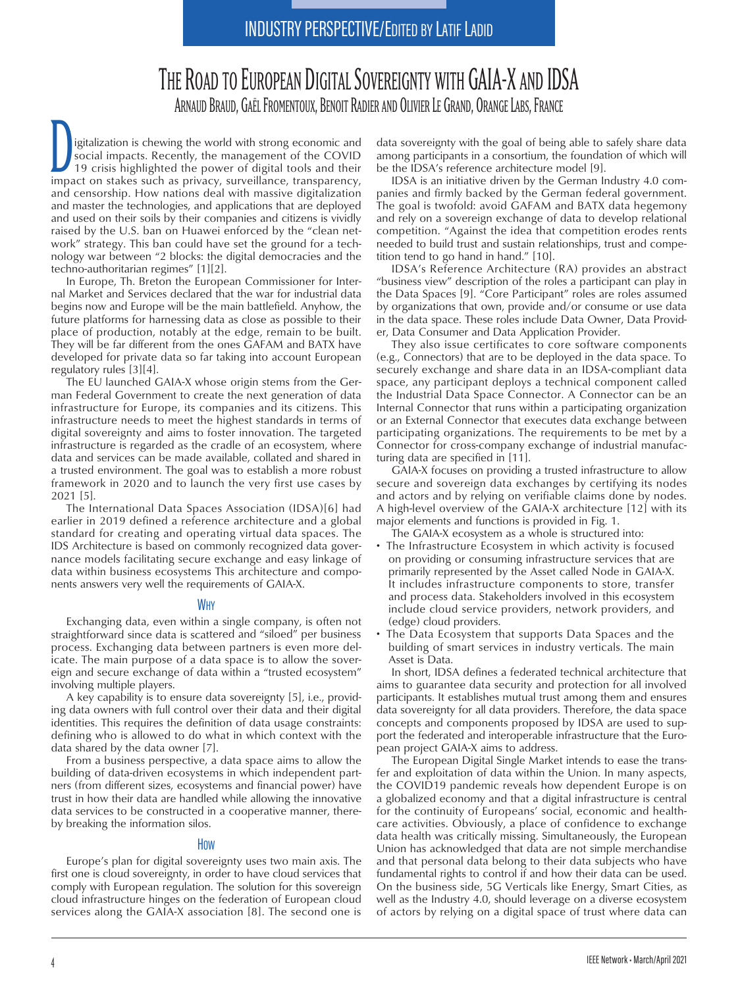# THE ROAD TO EUROPEAN DIGITAL SOVEREIGNTY WITH GAIA-X AND IDSA ARNAUD BRAUD, GAËL FROMENTOUX, BENOIT RADIER AND OLIVIER LE GRAND, ORANGE LABS, FRANCE

Digitalization is chewing the world with strong economic and social impacts. Recently, the management of the COVID 19 crisis highlighted the power of digital tools and their impact on stakes such as privacy, surveillance, transparency, and censorship. How nations deal with massive digitalization and master the technologies, and applications that are deployed and used on their soils by their companies and citizens is vividly raised by the U.S. ban on Huawei enforced by the "clean network" strategy. This ban could have set the ground for a technology war between "2 blocks: the digital democracies and the techno-authoritarian regimes" [1][2].

In Europe, Th. Breton the European Commissioner for Internal Market and Services declared that the war for industrial data begins now and Europe will be the main battlefield. Anyhow, the future platforms for harnessing data as close as possible to their place of production, notably at the edge, remain to be built. They will be far different from the ones GAFAM and BATX have developed for private data so far taking into account European regulatory rules [3][4].

The EU launched GAIA-X whose origin stems from the German Federal Government to create the next generation of data infrastructure for Europe, its companies and its citizens. This infrastructure needs to meet the highest standards in terms of digital sovereignty and aims to foster innovation. The targeted infrastructure is regarded as the cradle of an ecosystem, where data and services can be made available, collated and shared in a trusted environment. The goal was to establish a more robust framework in 2020 and to launch the very first use cases by 2021 [5].

The International Data Spaces Association (IDSA)[6] had earlier in 2019 defined a reference architecture and a global standard for creating and operating virtual data spaces. The IDS Architecture is based on commonly recognized data governance models facilitating secure exchange and easy linkage of data within business ecosystems This architecture and components answers very well the requirements of GAIA-X.

### Why

Exchanging data, even within a single company, is often not straightforward since data is scattered and "siloed" per business process. Exchanging data between partners is even more delicate. The main purpose of a data space is to allow the sovereign and secure exchange of data within a "trusted ecosystem" involving multiple players.

A key capability is to ensure data sovereignty [5], i.e., providing data owners with full control over their data and their digital identities. This requires the definition of data usage constraints: defining who is allowed to do what in which context with the data shared by the data owner [7].

From a business perspective, a data space aims to allow the building of data-driven ecosystems in which independent partners (from different sizes, ecosystems and financial power) have trust in how their data are handled while allowing the innovative data services to be constructed in a cooperative manner, thereby breaking the information silos.

## How

Europe's plan for digital sovereignty uses two main axis. The first one is cloud sovereignty, in order to have cloud services that comply with European regulation. The solution for this sovereign cloud infrastructure hinges on the federation of European cloud services along the GAIA-X association [8]. The second one is

data sovereignty with the goal of being able to safely share data among participants in a consortium, the foundation of which will be the IDSA's reference architecture model [9].

IDSA is an initiative driven by the German Industry 4.0 companies and firmly backed by the German federal government. The goal is twofold: avoid GAFAM and BATX data hegemony and rely on a sovereign exchange of data to develop relational competition. "Against the idea that competition erodes rents needed to build trust and sustain relationships, trust and competition tend to go hand in hand." [10].

IDSA's Reference Architecture (RA) provides an abstract "business view" description of the roles a participant can play in the Data Spaces [9]. "Core Participant" roles are roles assumed by organizations that own, provide and/or consume or use data in the data space. These roles include Data Owner, Data Provider, Data Consumer and Data Application Provider.

They also issue certificates to core software components (e.g., Connectors) that are to be deployed in the data space. To securely exchange and share data in an IDSA-compliant data space, any participant deploys a technical component called the Industrial Data Space Connector. A Connector can be an Internal Connector that runs within a participating organization or an External Connector that executes data exchange between participating organizations. The requirements to be met by a Connector for cross-company exchange of industrial manufacturing data are specified in [11].

GAIA-X focuses on providing a trusted infrastructure to allow secure and sovereign data exchanges by certifying its nodes and actors and by relying on verifiable claims done by nodes. A high-level overview of the GAIA-X architecture [12] with its major elements and functions is provided in Fig. 1.

The GAIA-X ecosystem as a whole is structured into:

- The Infrastructure Ecosystem in which activity is focused on providing or consuming infrastructure services that are primarily represented by the Asset called Node in GAIA-X. It includes infrastructure components to store, transfer and process data. Stakeholders involved in this ecosystem include cloud service providers, network providers, and (edge) cloud providers.
- The Data Ecosystem that supports Data Spaces and the building of smart services in industry verticals. The main Asset is Data.

In short, IDSA defines a federated technical architecture that aims to guarantee data security and protection for all involved participants. It establishes mutual trust among them and ensures data sovereignty for all data providers. Therefore, the data space concepts and components proposed by IDSA are used to support the federated and interoperable infrastructure that the European project GAIA-X aims to address.

The European Digital Single Market intends to ease the transfer and exploitation of data within the Union. In many aspects, the COVID19 pandemic reveals how dependent Europe is on a globalized economy and that a digital infrastructure is central for the continuity of Europeans' social, economic and healthcare activities. Obviously, a place of confidence to exchange data health was critically missing. Simultaneously, the European Union has acknowledged that data are not simple merchandise and that personal data belong to their data subjects who have fundamental rights to control if and how their data can be used. On the business side, 5G Verticals like Energy, Smart Cities, as well as the Industry 4.0, should leverage on a diverse ecosystem of actors by relying on a digital space of trust where data can